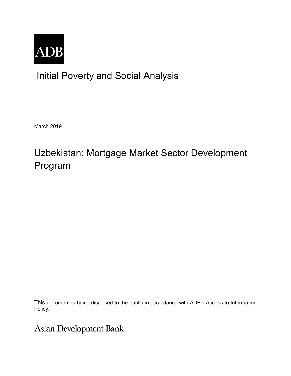

## Initial Poverty and Social Analysis

March 2019

# Uzbekistan: Mortgage Market Sector Development Program

This document is being disclosed to the public in accordance with ADB's Access to Information Policy.

Asian Development Bank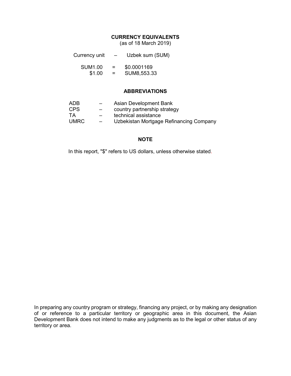## **CURRENCY EQUIVALENTS**

(as of 18 March 2019)

| Currency unit |  | Uzbek sum (SUM) |  |
|---------------|--|-----------------|--|
|---------------|--|-----------------|--|

| <b>SUM1.00</b> | = | \$0.0001169 |
|----------------|---|-------------|
| \$1.00         | = | SUM8,553.33 |

### **ABBREVIATIONS**

| ADB   | $\overline{\phantom{0}}$ | Asian Development Bank                  |
|-------|--------------------------|-----------------------------------------|
| CPS.  | $\overline{\phantom{m}}$ | country partnership strategy            |
| TA.   | $-$                      | technical assistance                    |
| UMRC. |                          | Uzbekistan Mortgage Refinancing Company |

## **NOTE**

In this report, "\$" refers to US dollars, unless otherwise stated.

In preparing any country program or strategy, financing any project, or by making any designation of or reference to a particular territory or geographic area in this document, the Asian Development Bank does not intend to make any judgments as to the legal or other status of any territory or area.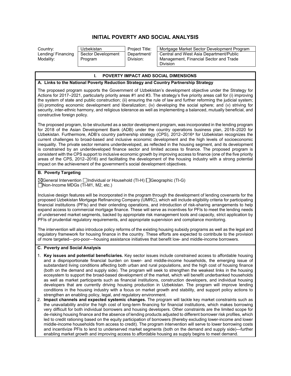## **INITIAL POVERTY AND SOCIAL ANALYSIS**

Lending/ Financing Modality:

| Uzbekistan         |
|--------------------|
| Sector Development |
| Program            |

Department/ Division:

Country: Uzbekistan Project Title: Mortgage Market Sector Development Program Central and West Asia Department/Public Management, Financial Sector and Trade Division

#### **I. POVERTY IMPACT AND SOCIAL DIMENSIONS**

#### **A. Links to the National Poverty Reduction Strategy and Country Partnership Strategy**

The proposed program supports the Government of Uzbekistan's development objective under the Strategy for Actions for 2017–2021, particularly priority areas #1 and #3. The strategy's five priority areas call for (i) improving the system of state and public construction; (ii) ensuring the rule of law and further reforming the judicial system; (iii) promoting economic development and liberalization; (iv) developing the social sphere; and (v) striving for security, inter-ethnic harmony, and religious tolerance as well as implementing a balanced, mutually beneficial, and constructive foreign policy.

The proposed program, to be structured as a sector development program, was incorporated in the lending program for 2018 of the Asian Development Bank (ADB) under the country operations business plan, 2018–2020 for Uzbekistan. Furthermore, ADB's country partnership strategy (CPS), 2012–2016<sup>a</sup> for Uzbekistan recognizes the current challenges to broad-based and inclusive economic development and the high levels of socioeconomic inequality. The private sector remains underdeveloped, as reflected in the housing segment, and its development is constrained by an underdeveloped finance sector and limited access to finance. The proposed program is consistent with the CPS support to inclusive economic growth by improving access to finance (one of the five priority areas of the CPS, 2012‒2016) and facilitating the development of the housing industry with a strong potential impact on the achievement of the government's social development objectives.

#### **B. Poverty Targeting**

 $\boxtimes$ General Intervention  $\Box$ Individual or Household (TI-H)  $\Box$ Geographic (TI-G) Non-Income MDGs (TI-M1, M2, etc.)

Inclusive design features will be incorporated in the program through the development of lending covenants for the proposed Uzbekistan Mortgage Refinancing Company (UMRC), which will include eligibility criteria for participating financial institutions (PFIs) and their onlending operations, and introduction of risk-sharing arrangements to help expand access to commercial mortgage finance. These will serve as incentives for PFIs to meet the lending needs of underserved market segments, backed by appropriate risk management tools and capacity, strict application by PFIs of prudential regulatory requirements, and appropriate supervision and compliance monitoring.

The intervention will also introduce policy reforms of the existing housing subsidy programs as well as the legal and regulatory framework for housing finance in the country. These efforts are expected to contribute to the provision of more targeted—pro-poor—housing assistance initiatives that benefit low- and middle-income borrowers.

#### **C. Poverty and Social Analysis**

- 1. **Key issues and potential beneficiaries.** Key sector issues include constrained access to affordable housing and a disproportionate financial burden on lower- and middle-income households, the emerging issue of substandard living conditions affecting both urban and rural populations, and the high cost of housing finance (both on the demand and supply side). The program will seek to strengthen the weakest links in the housing ecosystem to support the broad-based development of the market, which will benefit underbanked households as well as market participants such as financial institutions, construction developers, and individual housing developers that are currently driving housing production in Uzbekistan. The program will improve lending conditions in the housing industry with a focus on market growth and stability, and support policy actions to strengthen an enabling policy, legal, and regulatory environment.
- 2. **Impact channels and expected systemic changes.** The program will tackle key market constraints such as the unavailability and/or the high cost of long-term financing for financial institutions, which makes borrowing very difficult for both individual borrowers and housing developers. Other constraints are the limited scope for de-risking housing finance and the absence of lending products adjusted to different borrower risk profiles, which led to credit rationing based on the equity participation of borrowers (thereby excluding lower-income and lower middle-income households from access to credit). The program intervention will serve to lower borrowing costs and incentivize PFIs to lend to underserved market segments (both on the demand and supply side)—further enabling market growth and improving access to affordable housing as supply begins to meet demand.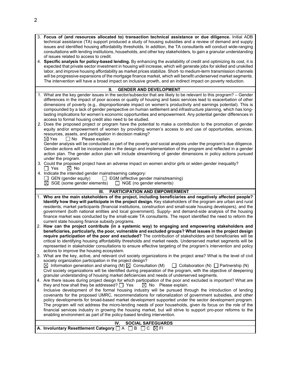| 3. Focus of (and resources allocated to) transaction technical assistance or due diligence. Initial ADB           |
|-------------------------------------------------------------------------------------------------------------------|
| technical assistance (TA) support produced a study of housing subsidies and a review of demand and supply         |
| issues and identified housing affordability thresholds. In addition, the TA consultants will conduct wide-ranging |
| consultations with lending institutions, households, and other key stakeholders, to gain a granular understanding |
| of issues related to access to credit.                                                                            |

4. **Specific analysis for policy-based lending.** By enhancing the availability of credit and optimizing its cost, it is expected that private sector investment in housing will increase, which will generate jobs for skilled and unskilled labor, and improve housing affordability as market prices stabilize. Short- to medium-term transmission channels will be progressive expansions of the mortgage finance market, which will benefit underserved market segments. The intervention will have a broad impact on inclusive growth, and an indirect impact on poverty reduction.

| Н.<br><b>GENDER AND DEVELOPMENT</b>                                                                                                                                                                                                                                                                                                                                                                                                                                                                                                                                                                                                                                                                                                                                                                                                                                                                                                                                                                                                                                 |
|---------------------------------------------------------------------------------------------------------------------------------------------------------------------------------------------------------------------------------------------------------------------------------------------------------------------------------------------------------------------------------------------------------------------------------------------------------------------------------------------------------------------------------------------------------------------------------------------------------------------------------------------------------------------------------------------------------------------------------------------------------------------------------------------------------------------------------------------------------------------------------------------------------------------------------------------------------------------------------------------------------------------------------------------------------------------|
| 1. What are the key gender issues in the sector/subsector that are likely to be relevant to this program? – Gender<br>differences in the impact of poor access or quality of housing and basic services lead to exacerbation of other<br>dimensions of poverty (e.g., disproportionate impact on women's productivity and earnings potential). This is<br>compounded by a lack of gender perspective on human settlement and infrastructure planning, which has long-<br>lasting implications for women's economic opportunities and empowerment. Any potential gender differences in<br>access to formal housing credit also need to be studied.                                                                                                                                                                                                                                                                                                                                                                                                                   |
| 2. Does the proposed project or program have the potential to make a contribution to the promotion of gender<br>equity and/or empowerment of women by providing women's access to and use of opportunities, services,<br>resources, assets, and participation in decision making?<br>$\Box$ No Please explain.<br>$\boxtimes$ Yes                                                                                                                                                                                                                                                                                                                                                                                                                                                                                                                                                                                                                                                                                                                                   |
| Gender analysis will be conducted as part of the poverty and social analysis under the program's due diligence.<br>Gender actions will be incorporated in the design and implementation of the program and reflected in a gender<br>action plan. The gender action plan will include streamlining of gender dimensions in policy actions pursued<br>under the program.                                                                                                                                                                                                                                                                                                                                                                                                                                                                                                                                                                                                                                                                                              |
| 3. Could the proposed project have an adverse impact on women and/or girls or widen gender inequality?<br>l l Yes<br>$\boxtimes$ No                                                                                                                                                                                                                                                                                                                                                                                                                                                                                                                                                                                                                                                                                                                                                                                                                                                                                                                                 |
| 4. Indicate the intended gender mainstreaming category:<br>$\Box$ GEN (gender equity)<br>$\Box$ EGM (effective gender mainstreaming)<br>$\boxtimes$ SGE (some gender elements)<br>$\Box$ NGE (no gender elements)                                                                                                                                                                                                                                                                                                                                                                                                                                                                                                                                                                                                                                                                                                                                                                                                                                                   |
| PARTICIPATION AND EMPOWERMENT<br>Ш.                                                                                                                                                                                                                                                                                                                                                                                                                                                                                                                                                                                                                                                                                                                                                                                                                                                                                                                                                                                                                                 |
| 1. Who are the main stakeholders of the project, including beneficiaries and negatively affected people?<br>Identify how they will participate in the project design. Key stakeholders of the program are urban and rural<br>residents, market participants (financial institutions, construction and small-scale housing developers), and the<br>government (both national entities and local government). Supply- and demand-side analysis of the housing<br>finance market was conducted by the small-scale TA consultants. The report identified the need to reform the<br>current state housing finance subsidy programs.                                                                                                                                                                                                                                                                                                                                                                                                                                      |
| 2. How can the project contribute (in a systemic way) to engaging and empowering stakeholders and<br>beneficiaries, particularly, the poor, vulnerable and excluded groups? What issues in the project design<br>require participation of the poor and excluded? The contribution of stakeholders and beneficiaries will be<br>critical to identifying housing affordability thresholds and market needs. Underserved market segments will be<br>represented in stakeholder consultations to ensure effective targeting of the program's intervention and policy<br>actions to improve the housing ecosystem.                                                                                                                                                                                                                                                                                                                                                                                                                                                       |
| 3. What are the key, active, and relevant civil society organizations in the project area? What is the level of civil<br>society organization participation in the project design?<br>$\boxtimes$ Information generation and sharing (M) $\boxtimes$ Consultation (M) $\Box$ Collaboration (N) $\Box$ Partnership (N)                                                                                                                                                                                                                                                                                                                                                                                                                                                                                                                                                                                                                                                                                                                                               |
| Civil society organizations will be identified during preparation of the program, with the objective of deepening<br>granular understanding of housing market deficiencies and needs of underserved segments.<br>4. Are there issues during project design for which participation of the poor and excluded is important? What are<br>they and how shall they be addressed? $\Box$ Yes<br>$\boxtimes$ No Please explain.<br>Inclusive development of the formal housing industry will be pursued through the introduction of lending<br>covenants for the proposed UMRC, recommendations for rationalization of government subsidies, and other<br>policy developments for broad-based market development supported under the sector development program.<br>The program will not address the micro-lending needs of poor households, given its focus on the role of the<br>financial services industry in growing the housing market, but will strive to support pro-poor reforms to the<br>enabling environment as part of the policy-based lending intervention. |

|                                                                                | IV. SOCIAL SAFEGUARDS |
|--------------------------------------------------------------------------------|-----------------------|
| A. Involuntary Resettlement Category $\Box A$ $\Box B$ $\Box C$ $\boxtimes$ FI |                       |